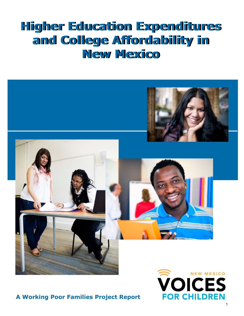# **Higher Education Expenditures Higher Education Expenditures and College Affordability in and College Affordability in New Mexico New Mexico**



# **A Working Poor Families Project Report**

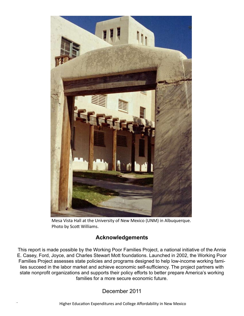

Mesa Vista Hall at the University of New Mexico (UNM) in Albuquerque. Photo by Scott Williams.

# **Acknowledgements**

This report is made possible by the Working Poor Families Project, a national initiative of the Annie E. Casey, Ford, Joyce, and Charles Stewart Mott foundations. Launched in 2002, the Working Poor Families Project assesses state policies and programs designed to help low-income working families succeed in the labor market and achieve economic self-sufficiency. The project partners with state nonprofit organizations and supports their policy efforts to better prepare America's working families for a more secure economic future.

December 2011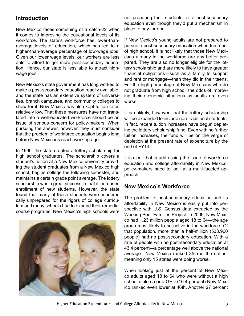# **Introduction**

New Mexico faces something of a catch-22 when it comes to improving the educational levels of its workforce. The state's workforce has lower-thanaverage levels of education, which has led to a higher-than-average percentage of low-wage jobs. Given our lower wage levels, our workers are less able to afford to get more post-secondary education. Hence, our state is less able to attract highwage jobs.

New Mexico's state government has long worked to make a post-secondary education readily available, and the state has an extensive system of universities, branch campuses, and community colleges to show for it. New Mexico has also kept tuition rates relatively low. That these measures have not translated into a well-educated workforce should be an issue of serious concern for policy-makers. When pursuing the answer, however, they must consider that the problem of workforce education begins long before New Mexicans reach working age.

In 1996, the state created a lottery scholarship for high school graduates. The scholarship covers a student's tuition at a New Mexico university providing the student graduates from a New Mexico high school, begins college the following semester, and maintains a certain grade point average. The lottery scholarship was a great success in that it increased enrollment of new students. However, the state found that many of these students were academically unprepared for the rigors of college curriculum and many schools had to expand their remedial course programs. New Mexico's high schools were



not preparing their students for a post-secondary education even though they'd put a mechanism in place to pay for one.

If New Mexico's young adults are not prepared to pursue a post-secondary education when fresh out of high school, it is not likely that those New Mexicans already in the workforce are any better prepared. They are also no longer eligible for the lottery scholarship and are more likely to have greater financial obligations—such as a family to support and rent or mortgage—than they did in their teens. For the high percentage of New Mexicans who do not graduate from high school, the odds of improving their economic situations as adults are even worse.

It is unlikely, however, that the lottery scholarship will be expanded to include non-traditional students. In fact, recent tuition increases have begun depleting the lottery scholarship fund. Even with no further tuition increases, the fund will be on the verge of depletion at the present rate of expenditure by the end of FY14.

It is clear that in addressing the issue of workforce education and college affordability in New Mexico, policy-makers need to look at a multi-faceted approach.

#### **New Mexico's Workforce**

The problem of post-secondary education and its affordability in New Mexico is easily put into perspective with U.S. Census data extracted by the Working Poor Families Project: in 2009, New Mexico had 1.23 million people aged 18 to 64—the age group most likely to be active in the workforce. Of that population, more than a half-million (533,960 people) had no post-secondary education. With a rate of people with no post-secondary education at 43.4 percent—a percentage well above the national average—New Mexico ranked 35th in the nation, meaning only 15 states were doing worse.

When looking just at the percent of New Mexico adults aged 18 to 64 who were without a high school diploma or a GED (16.4 percent) New Mexico ranked even lower at 46th. Another 27 percent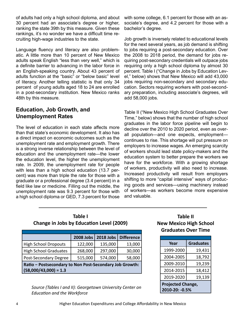of adults had only a high school diploma, and about 30 percent had an associate's degree or higher, ranking the state 39th by this measure. Given these rankings, it's no wonder we have a difficult time recruiting high-wage industries to the state.

Language fluency and literacy are also problematic. A little more than 10 percent of New Mexico adults speak English "less than very well," which is a definite barrier to advancing in the labor force in an English-speaking country. About 43 percent of adults function at the "basic" or "below basic" level of literacy. Another telling statistic is that only 34 percent of young adults aged 18 to 24 are enrolled in a post-secondary institution. New Mexico ranks 48th by this measure.

## **Education, Job Growth, and Unemployment Rates**

The level of education in each state affects more than that state's economic development. It also has a direct impact on economic outcomes such as the unemployment rate and employment growth. There is a strong inverse relationship between the level of education and the unemployment rate—the lower the education level, the higher the unemployment rate. In 2009, the unemployment rate for people with less than a high school education (13.7 percent) was more than triple the rate for those with a graduate or a professional degree (3.4 percent) in a field like law or medicine. Filling out the middle, the unemployment rate was 9.3 percent for those with a high school diploma or GED, 7.3 percent for those

with some college, 6.1 percent for those with an associate's degree, and 4.2 percent for those with a bachelor's degree.

Job growth is inversely related to educational levels for the next several years, as job demand is shifting to jobs requiring a post-secondary education. Over the 2008 to 2018 period, the demand for jobs requiring post-secondary credentials will outpace jobs requiring only a high school diploma by almost 30 percent. Table I ("Change in Jobs by Education Level," below) shows that New Mexico will add 43,000 jobs requiring non-secondary and secondary education. Sectors requiring workers with post-secondary preparation, including associate's degrees, will add 58,000 jobs.

Table II ("New Mexico High School Graduates Over Time," below) shows that the number of high school graduates in the labor force pipeline will begin to decline over the 2010 to 2020 period, even as overall population—and one expects, employment continues to rise. This shortage will put pressure on employers to increase wages. An emerging scarcity of workers should lead state policy-makers and the education system to better prepare the workers we have for the workforce. With a growing shortage of workers, productivity will also need to increase. Increased productivity will result from employers shifting to more "capital intensive" ways of producing goods and services—using machinery instead of workers—as workers become more expensive and valuable.

| Table I                                         |  |
|-------------------------------------------------|--|
| <b>Change in Jobs by Education Level (2009)</b> |  |

|                                                         | 2008 Jobs | <b>2018 Jobs</b> | <b>Difference</b> |
|---------------------------------------------------------|-----------|------------------|-------------------|
| <b>High School Dropouts</b>                             | 122,000   | 135,000          | 13,000            |
| <b>High School Graduates</b>                            | 268,000   | 297,000          | 30,000            |
| Post-Secondary Degree                                   | 515,000   | 574,000          | 58,000            |
| Ratio - Postsecondary to Non Post-Secondary Job Growth: |           |                  |                   |
| $(58,000/43,000) = 1.3$                                 |           |                  |                   |

*Source (Tables I and II): Georgetown University Center on Education and the Workforce*

## **Table II New Mexico High School Graduates Over Time**

| Year                                       | <b>Graduates</b> |  |  |
|--------------------------------------------|------------------|--|--|
| 1999-2000                                  | 19,431           |  |  |
| 2004-2005                                  | 18,792           |  |  |
| 2009-2010                                  | 19,239           |  |  |
| 2014-2015                                  | 18,412           |  |  |
| 2019-2020                                  | 19,139           |  |  |
| <b>Projected Change,</b><br>2010-20: -0.5% |                  |  |  |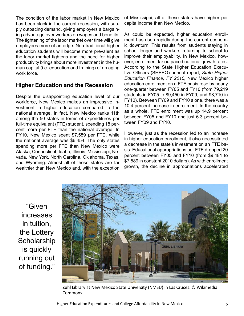The condition of the labor market in New Mexico has been slack in the current recession, with supply outpacing demand, giving employers a bargaining advantage over workers on wages and benefits. The tightening of the labor market over time will give employees more of an edge. Non-traditional higher education students will become more prevalent as the labor market tightens and the need for higher productivity brings about more investment in the human capital (i.e. education and training) of an aging work force.

## **Higher Education and the Recession**

Despite the disappointing education level of our workforce, New Mexico makes an impressive investment in higher education compared to the national average. In fact, New Mexico ranks 11th among the 50 states in terms of expenditures per full-time equivalent (FTE) student, spending 18 percent more per FTE than the national average. In FY10, New Mexico spent \$7,589 per FTE, while the national average was \$6,454. The only states spending more per FTE than New Mexico were Alaska, Connecticut, Idaho, Illinois, Mississippi, Nevada, New York, North Carolina, Oklahoma, Texas, and Wyoming. Almost all of these states are far wealthier than New Mexico and, with the exception of Mississippi, all of these states have higher per capita income than New Mexico.

As could be expected, higher education enrollment has risen rapidly during the current economic downturn. This results from students staying in school longer and workers returning to school to improve their employability. In New Mexico, however, enrollment far outpaced national growth rates. According to the State Higher Education Executive Officers (SHEEO) annual report, *State Higher Education Finance, FY 2010*, New Mexico higher education enrollment on a FTE basis rose by nearly one-quarter between FY05 and FY10 (from 79,219 students in FY05 to 89,450 in FY09, and 98,710 in FY10). Between FY09 and FY10 alone, there was a 10.4 percent increase in enrollment. In the country as a whole, FTE enrollment was up 14.9 percent between FY05 and FY10 and just 6.3 percent between FY09 and FY10.

However, just as the recession led to an increase in higher education enrollment, it also necessitated a decrease in the state's investment on an FTE basis. Educational appropriations per FTE dropped 20 percent between FY05 and FY10 (from \$9,481 to \$7,589 in constant 2010 dollars). As with enrollment growth, the decline in appropriations accelerated

"Given increases in tuition, the Lottery **Scholarship** is quickly running out of funding."



Zuhl Library at New Mexico State University (NMSU) in Las Cruces. © Wikimedia Commons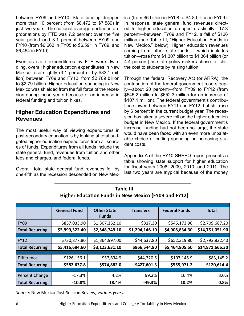between FY09 and FY10. State funding dropped more than 10 percent (from \$8,472 to \$7,589) in just two years. The national average decline in appropriations by FTE was 7.2 percent over the five year period and 3.1 percent between FY09 and FY10 (from \$6,662 in FY05 to \$6,591 in FY09, and \$6,454 in FY10).

Even as state expenditures by FTE were dwindling, overall higher education expenditures in New Mexico rose slightly (3.1 percent or by \$83.1 million) between FY09 and FY12, from \$2.709 billion to \$2.79 billion. Higher education spending in New Mexico was shielded from the full force of the recession during these years because of an increase in federal funding and tuition hikes.

## **Higher Education Expenditures and Revenues**

The most useful way of viewing expenditures in post-secondary education is by looking at total budgeted higher education expenditures from all sources of funds. Expenditures from all funds include the state general fund, revenues from tuition and other fees and charges, and federal funds.

Overall, total state general fund revenues fell by one-fifth as the recession descended on New Mexico (from \$6 billion in FY08 to \$4.8 billion in FY09). In response, state general fund revenues directed to higher education dropped drastically—17.3 percent—between FY09 and FY12, a fall of \$126 million (see Table III, "Higher Education Funds in New Mexico," below). Higher education revenues coming from 'other state funds'— which includes tuition—rose from \$1.307 billion to \$1.364 billion (or 4.4 percent) as state policy-makers chose to shift the cost to students by raising tuition.

Through the federal Recovery Act (or ARRA), the contribution of the federal government rose steeply—about 20 percent—from FY09 to FY12 (from \$545.2 million to \$652.3 million for an increase of \$107.1 million). The federal government's contribution slowed between FY11 and FY12, but still rose by 6 percent in the current budget year. The recession has taken a severe toll on the higher education budget in New Mexico. If the federal government's increase funding had not been so large, the state would have been faced with an even more unpalatable choice of cutting spending or increasing student costs.

Appendix A of the FY10 SHEEO report presents a table showing state support for higher education for fiscal years 2006, 2009, 2010, and 2011. The last two years are atypical because of the money

|                        | <b>General Fund</b> | <b>Other State</b> | <b>Transfers</b> | <b>Federal Funds</b> | <b>Total</b>    |
|------------------------|---------------------|--------------------|------------------|----------------------|-----------------|
|                        |                     | <b>Funds</b>       |                  |                      |                 |
| <b>FY09</b>            | \$857,033.90        | \$1,307,162.10     | \$317.30         | \$545,173.90         | \$2,709,687.20  |
| <b>Total Recurring</b> | \$5,999,322.40      | \$2,548,749.10     | \$1,294,146.10   | \$4,908,834.30       | \$14,751,051.90 |
|                        |                     |                    |                  |                      |                 |
| <b>FY12</b>            | \$730,877.80        | \$1,364,997.00     | \$44,637.80      | \$652,319.80         | \$2,792,832.40  |
| <b>Total Recurring</b> | \$5,416,684.60      | \$3,123,631.10     | \$866,544.80     | \$5,464,805.50       | \$14,871,666.30 |
|                        |                     |                    |                  |                      |                 |
| <b>Difference</b>      | $-$126,156.1$       | \$57,834.9         | \$44,320.5       | \$107,145.9          | \$83,145.2      |
| <b>Total Recurring</b> | $-$582,637.8$       | \$574,882.0        | $-$427,601.3$    | \$555,971.2          | \$120,614.4     |
|                        |                     |                    |                  |                      |                 |
| Percent Change         | $-17.3%$            | 4.2%               | 99.3%            | 16.4%                | 3.0%            |
| <b>Total Recurring</b> | $-10.8%$            | 18.4%              | $-49.3%$         | 10.2%                | 0.8%            |

**Table III Higher Education Funds in New Mexico (FY09 and FY12)**

*Source:* New Mexico Post-Session Review*, various years.*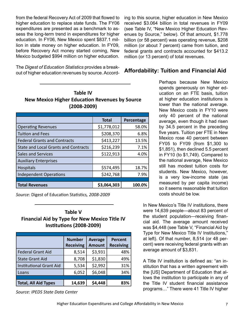from the federal Recovery Act of 2009 that flowed to higher education to replace state funds. The FY06 expenditures are presented as a benchmark to assess the long-term trend in expenditures for higher education. In FY06, New Mexico spent \$837.1 million in state money on higher education. In FY09, before Recovery Act money started coming, New Mexico budgeted \$994 million on higher education.

The *Digest of Education Statistics* provides a breakout of higher education revenues by source. Accord-

| <b>Table IV</b>                                       |
|-------------------------------------------------------|
| <b>New Mexico Higher Education Revenues by Source</b> |
| $(2008 - 2009)$                                       |

|                                             | <b>Total</b> | Percentage |
|---------------------------------------------|--------------|------------|
| <b>Operating Revenues</b>                   | \$1,778,012  | 58.0%      |
| <b>Tuition and Fees</b>                     | \$208,370    | 6.8%       |
| <b>Federal Grants and Contracts</b>         | \$413,227    | 13.5%      |
| <b>State and Local Grants and Contracts</b> | \$216,239    | 7.1%       |
| <b>Sales and Services</b>                   | \$122,913    | 4.0%       |
| <b>Auxiliary Enterprises</b>                |              |            |
| Hospitals                                   | \$574,495    | 18.7%      |
| <b>Independent Operations</b>               | \$242,768    | 7.9%       |
|                                             |              |            |
| <b>Total Revenues</b>                       | \$3,064,303  | 100.0%     |

*Source:* Digest of Education Statistics*, 2008-2009*

## **Table V Financial Aid by Type for New Mexico Title IV Institutions (2008-2009)**

|                                | <b>Number</b><br><b>Receiving</b> | <b>Average</b><br><b>Amount</b> | <b>Percent</b><br><b>Receiving</b> |
|--------------------------------|-----------------------------------|---------------------------------|------------------------------------|
| <b>Federal Grant Aid</b>       | 8,514                             | \$3,931                         | 48%                                |
| <b>State Grant Aid</b>         | 8,708                             | \$1,830                         | 49%                                |
| <b>Institutional Grant Aid</b> | 5,534                             | \$2,992                         | 31%                                |
| Loans                          | 6,052                             | \$6,048                         | 34%                                |
|                                |                                   |                                 |                                    |
| <b>Total, All Aid Types</b>    | 14,639                            | \$4,448                         | 83%                                |

*Source: IPEDS State Data Center*

ing to this source, higher education in New Mexico received \$3.064 billion in total revenues in FY09 (see Table IV, "New Mexico Higher Education Revenues by Source," below). Of that amount, \$1.778 billion (or 58 percent) was operating revenue, \$208 million (or about 7 percent) came from tuition, and federal grants and contracts accounted for \$413.2 million (or 13 percent) of total revenues.

## **Affordability: Tuition and Financial Aid**

Perhaps because New Mexico spends generously on higher education on an FTE basis, tuition at higher education institutions is lower than the national average. New Mexico costs in FY10 were only 40 percent of the national average, even though it had risen by 34.5 percent in the preceding five years. Tuition per FTE in New Mexico rose 40 percent between FY05 to FY09 (from \$1,300 to \$1,851), then declined 5.5 percent in FY10 (to \$1,749). Compared to the national average, New Mexico still has modest tuition costs for students. New Mexico, however, is a very low-income state (as measured by per capita income) so it seems reasonable that tuition costs should be low.

In New Mexico's Title IV institutions, there were 14,639 people—about 83 percent of the student population—receiving financial aid. The average amount received was \$4,448 (see Table V, "Financial Aid by Type for New Mexico Title IV Institutions," at left). Of that number, 8,514 (or 48 percent) were receiving federal grants with an average amount of \$3,831.

A Title IV institution is defined as: "an institution that has a written agreement with the [US] Department of Education that allows the institution to participate in any of the Title IV student financial assistance programs…" There were 41 Title IV higher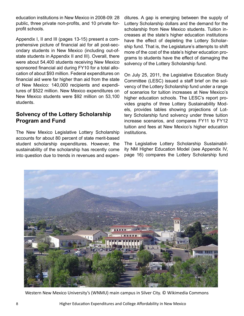education institutions in New Mexico in 2008-09: 28 public, three private non-profits, and 10 private forprofit schools.

Appendix I, II and III (pages 13-15) present a comprehensive picture of financial aid for all post-secondary students in New Mexico (including out-ofstate students in Appendix II and III). Overall, there were about 54,400 students receiving New Mexico sponsored financial aid during FY10 for a total allocation of about \$93 million. Federal expenditures on financial aid were far higher than aid from the state of New Mexico: 140,000 recipients and expenditures of \$522 million. New Mexico expenditures on New Mexico students were \$92 million on 53,100 students.

## **Solvency of the Lottery Scholarship Program and Fund**

The New Mexico Legislative Lottery Scholarship accounts for about 80 percent of state merit-based student scholarship expenditures. However, the sustainability of the scholarship has recently come into question due to trends in revenues and expenditures. A gap is emerging between the supply of Lottery Scholarship dollars and the demand for the scholarship from New Mexico students. Tuition increases at the state's higher education institutions have the effect of depleting the Lottery Scholarship fund. That is, the Legislature's attempts to shift more of the cost of the state's higher education programs to students have the effect of damaging the solvency of the Lottery Scholarship fund.

On July 25, 2011, the Legislative Education Study Committee (LESC) issued a staff brief on the solvency of the Lottery Scholarship fund under a range of scenarios for tuition increases at New Mexico's higher education schools. The LESC's report provides graphs of three Lottery Sustainability Models, provides tables showing projections of Lottery Scholarship fund solvency under three tuition increase scenarios, and compares FY11 to FY12 tuition and fees at New Mexico's higher education institutions.

The Legislative Lottery Scholarship Sustainability NM Higher Education Model (see Appendix IV, page 16) compares the Lottery Scholarship fund



Western New Mexico University's (WNMU) main campus in Silver City. © Wikimedia Commons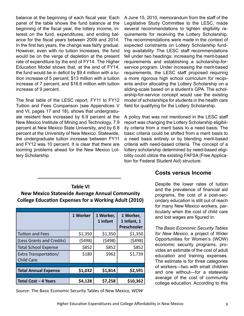balance at the beginning of each fiscal year. Each panel of the table shows the fund balance at the beginning of the fiscal year, the lottery income, interest on the fund, expenditures, and ending balance for the fiscal years between 2009 and 2014. In the first two years, the change was fairly gradual. However, even with no tuition increases, the fund would be on the verge of depletion at the present rate of expenditure by the end of FY14. The Higher Education Model shows that, at the end of FY14, the fund would be in deficit by \$9.4 million with a tuition increase of 5 percent; \$13 million with a tuition increase of 7 percent; and \$16.6 million with tuition increase of 9 percent.

The final table of the LESC report, FY11 to FY12 Tuition and Fees Comparison (see Appendices V and VI, pages 17 and 18), shows that undergraduate resident fees increased by 6.9 percent at the New Mexico Institute of Mining and Technology, 7.9 percent at New Mexico State University, and by 6.8 percent at the University of New Mexico. Statewide, the undergraduate tuition increase between FY11 and FY12 was 10 percent. It is clear that there are looming problems ahead for the New Mexico Lottery Scholarship.

A June 15, 2010, memorandum from the staff of the Legislative Study Committee to the LESC, made several recommendations to tighten eligibility requirements for receiving the Lottery Scholarship. The recommendations were made in the context of expected constraints on Lottery Scholarship funding availability. The LESC staff recommendations fell under two headings: increasing the merit-based requirements and establishing a scholarship-forservice program. Under increasing the merit-based requirements, the LESC staff proposed requiring a more rigorous high school curriculum for recipients and/or allocating the Lottery Scholarship on a sliding-scale based on a student's GPA. The scholarship-for-service concept would use the existing model of scholarships for students in the health care field for qualifying for the Lottery Scholarship.

A policy that was not mentioned in the LESC staff report was changing the Lottery Scholarship eligibility criteria from a merit basis to a need basis. The basic criteria could be shifted from a merit basis to a need basis entirely or by blending merit-based criteria with need-based criteria. The concept of a lottery scholarship determined by need-based eligibility could utilize the existing FAFSA (Free Application for Federal Student Aid) structure.

## **Table VI New Mexico Statewide Average Annual Community College Education Expenses for a Working Adult (2010)**

|                                            | 1 Worker | 1 Worker,<br>1 Infant | 1 Worker,<br>1 Infant, 1<br>Preschooler |
|--------------------------------------------|----------|-----------------------|-----------------------------------------|
| <b>Tuition and Fees</b>                    | \$1,350  | \$1,350               | \$1,350                                 |
| (Less Grants and Credits)                  | (5498)   | (5498)                | (\$498)                                 |
| <b>Total School Expense</b>                | \$852    | \$852                 | \$852                                   |
| Extra Transportation/<br><b>Child Care</b> | \$180    | \$962                 | \$1,739                                 |
|                                            |          |                       |                                         |
| <b>Total Annual Expense</b>                | \$1,032  | \$1,814               | \$2,591                                 |
|                                            |          |                       |                                         |
| Total Cost - 4 Years                       | \$4,128  | \$7,258               | \$10,362                                |

**Costs versus Income**

Despite the lower rates of tuition and the prevalence of financial aid programs, the cost of a post-secondary education is still out of reach for many New Mexico workers, particularly when the cost of child care and lost wages are figured in.

*The Basic Economic Security Tables for New Mexico*, a project of Wider Opportunities for Women's (WOW) economic security programs, provides an estimate of the cost of adult education and training expenses. The estimate is for three categories of workers—two with small children and one without—for a statewide average of the cost of community college education. According to this

*Source:* The Basic Economic Security Tables of New Mexico, *WOW*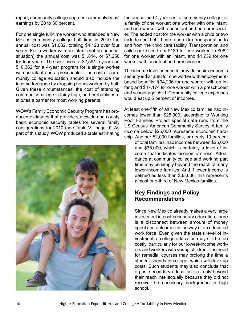report, community college degrees commonly boost earnings by 20 to 30 percent.

For one single full-time worker who attended a New Mexico community college half time in 2010 the annual cost was \$1,032, totaling \$4,128 over four years. For a worker with an infant (not an unusual situation) the annual cost was \$1,814, or \$7,258 for four years. The cost rises to \$2,591 a year and \$10,362 for a 4-year program for a single worker with an infant and a preschooler. The cost of community college education should also include the income foregone by dropping hours worked by half. Given these circumstances, the cost of attending community college is fairly high, and probably constitutes a barrier for most working parents.

WOW's Family Economic Security Program has produced estimates that provide statewide and county basic economic security tables for several family configurations for 2010 (see Table VI, page 9). As part of this study, WOW produced a table estimating



the annual and 4-year cost of community college for a family of one worker; one worker with one infant; and one worker with one infant and one preschooler. The added cost for the worker with a child or two includes paid child care and extra transportation to and from the child care facility. Transportation and child care rises from \$180 for one worker, to \$962 for one worker with an infant, and \$1,739 for one worker with an infant and preschooler.

The income level needed to provide basic economic security is \$21,888 for one worker with employmentbased benefits; \$34,296 for one worker with an infant; and \$47,174 for one worker with a preschooler and school-age child. Community college expenses would eat up 5 percent of incomes.

At least one-fifth of all New Mexico families had incomes lower than \$25,000, according to Working Poor Families Project special data runs from the US Census' American Community Survey. A family income below \$25,000 represents economic hardship. Another 52,000 families, or nearly 10 percent

of total families, had incomes between \$25,000 and \$35,000, which is certainly a level of income that indicates economic stress. Attendance at community college and working part time may be simply beyond the reach of many lower-income families. And if lower income is defined as less than \$35,000, this represents almost one-third of New Mexico families.

## **Key Findings and Policy Recommendations**

Since New Mexico already makes a very large investment in post-secondary education, there is a disconnect between amount of money spent and outcomes in the way of an educated work force. Even given the state's level of investment, a college education may still be too costly, particularly for our lowest-income workers and workers with young children. The need for remedial courses may prolong the time a student spends in college, which will drive up costs. Such students may also conclude that a post-secondary education is simply beyond their reach intellectually because they did not receive the necessary background in high school.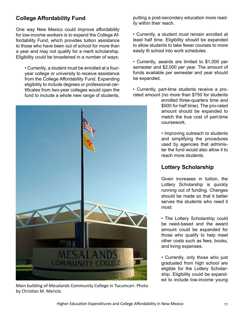# **College Affordability Fund**

One way New Mexico could improve affordability for low-income workers is to expand the College Affordability Fund, which provides tuition assistance to those who have been out of school for more than a year and may not qualify for a merit scholarship. Eligibility could be broadened in a number of ways:

• Currently, a student must be enrolled at a fouryear college or university to receive assistance from the College Affordability Fund. Expanding eligibility to include degrees or professional certificates from two-year colleges would open the fund to include a whole new range of students,



Main building of Mesalands Community College in Tucumcari. Photo by Christian M. Mericle.

putting a post-secondary education more readily within their reach.

• Currently, a student must remain enrolled at least half time. Eligibility should be expanded to allow students to take fewer courses to more easily fit school into work schedules.

• Currently, awards are limited to \$1,000 per semester and \$2,000 per year. The amount of funds available per semester and year should be expanded.

• Currently, part-time students receive a prorated amount (no more than \$750 for students

> enrolled three-quarters time and \$500 for half time). The pro-rated amount should be expanded to match the true cost of part-time coursework.

> • Improving outreach to students and simplifying the procedures used by agencies that administer the fund would also allow it to reach more students.

# **Lottery Scholarship**

Given increases in tuition, the Lottery Scholarship is quickly running out of funding. Changes should be made so that it better serves the students who need it most:

• The Lottery Scholarship could be need-based and the award amount could be expanded for those who qualify to help meet other costs such as fees, books, and living expenses.

• Currently, only those who just graduated from high school are eligible for the Lottery Scholarship. Eligibility could be expanded to include low-income young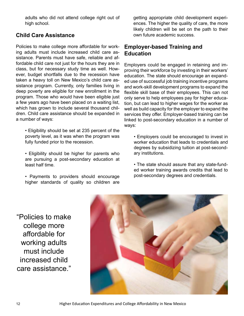adults who did not attend college right out of high school.

# **Child Care Assistance**

Policies to make college more affordable for working adults must include increased child care assistance. Parents must have safe, reliable and affordable child care not just for the hours they are in class, but for necessary study time as well. However, budget shortfalls due to the recession have taken a heavy toll on New Mexico's child care assistance program. Currently, only families living in deep poverty are eligible for new enrollment in the program. Those who would have been eligible just a few years ago have been placed on a waiting list, which has grown to include several thousand children. Child care assistance should be expanded in a number of ways:

- Eligibility should be set at 235 percent of the poverty level, as it was when the program was fully funded prior to the recession.
- Eligibility should be higher for parents who are pursuing a post-secondary education at least half time.
- Payments to providers should encourage higher standards of quality so children are

getting appropriate child development experiences. The higher the quality of care, the more likely children will be set on the path to their own future academic success.

## **Employer-based Training and Education**

Employers could be engaged in retaining and improving their workforce by investing in their workers' education. The state should encourage an expanded use of successful job training incentive programs and work-skill development programs to expand the flexible skill base of their employees. This can not only serve to help employees pay for higher education, but can lead to higher wages for the worker as well as build capacity for the employer to expand the services they offer. Employer-based training can be linked to post-secondary education in a number of ways:

• Employers could be encouraged to invest in worker education that leads to credentials and degrees by subsidizing tuition at post-secondary institutions.

• The state should assure that any state-funded worker training awards credits that lead to post-secondary degrees and credentials.

"Policies to make college more affordable for working adults must include increased child care assistance."



12 Higher Education Expenditures and College Affordability in New Mexico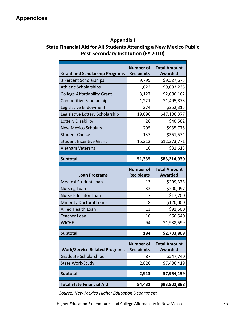## **Appendix I State Financial Aid for All Students Attending a New Mexico Public Post-Secondary Institution (FY 2010)**

| <b>Grant and Scholarship Programs</b> | <b>Number of</b><br><b>Recipients</b> | <b>Total Amount</b><br><b>Awarded</b> |
|---------------------------------------|---------------------------------------|---------------------------------------|
| 3 Percent Scholarships                | 9,799                                 | \$9,527,673                           |
| <b>Athletic Scholarships</b>          | 1,622                                 | \$9,093,235                           |
| <b>College Affordability Grant</b>    | 3,127                                 | \$2,006,162                           |
| <b>Competitive Scholarships</b>       | 1,221                                 | \$1,495,873                           |
| Legislative Endowment                 | 274                                   | \$252,315                             |
| Legislative Lottery Scholarship       | 19,696                                | \$47,106,377                          |
| Lottery Disability                    | 26                                    | \$40,562                              |
| <b>New Mexico Scholars</b>            | 205                                   | \$935,775                             |
| <b>Student Choice</b>                 | 137                                   | \$351,574                             |
| <b>Student Incentive Grant</b>        | 15,212                                | \$12,373,771                          |
| <b>Vietnam Veterans</b>               | 16                                    | \$31,613                              |
| <b>Subtotal</b>                       |                                       |                                       |
|                                       | 51,335                                | \$83,214,930                          |
| <b>Loan Programs</b>                  | <b>Number of</b><br><b>Recipients</b> | <b>Total Amount</b><br><b>Awarded</b> |
| <b>Medical Student Loan</b>           | 13                                    | \$299,373                             |
| <b>Nursing Loan</b>                   | 33                                    | \$200,097                             |
| <b>Nurse Educator Loan</b>            | 7                                     | \$17,700                              |
| <b>Minority Doctoral Loans</b>        | 8                                     | \$120,000                             |
| <b>Allied Health Loan</b>             | 13                                    | \$91,500                              |
| <b>Teacher Loan</b>                   | 16                                    | \$66,540                              |
| <b>WICHE</b>                          | 94                                    | \$1,938,599                           |
|                                       |                                       |                                       |
| <b>Subtotal</b>                       | 184                                   | \$2,733,809                           |
| <b>Work/Service Related Programs</b>  | <b>Number of</b><br><b>Recipients</b> | <b>Total Amount</b><br><b>Awarded</b> |
| <b>Graduate Scholarships</b>          | 87                                    | \$547,740                             |
| <b>State Work-Study</b>               | 2,826                                 | \$7,406,419                           |
| <b>Subtotal</b>                       | 2,913                                 | \$7,954,159                           |
| <b>Total State Financial Aid</b>      | 54,432                                | \$93,902,898                          |

*Source: New Mexico Higher Education Department*

Higher Education Expenditures and College Affordability in New Mexico 13 13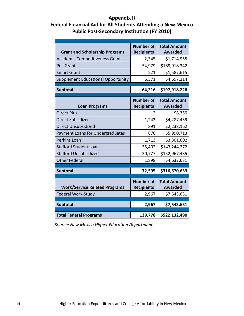## **Appendix II Federal Financial Aid for All Students Attending a New Mexico Public Post-Secondary Institution (FY 2010)**

| <b>Grant and Scholarship Programs</b>                      | <b>Number of</b><br><b>Recipients</b>          | <b>Total Amount</b><br><b>Awarded</b>                |
|------------------------------------------------------------|------------------------------------------------|------------------------------------------------------|
| <b>Academic Competitiveness Grant</b>                      | 2,345                                          | \$1,714,955                                          |
| <b>Pell Grants</b>                                         | 54,979                                         | \$189,918,342                                        |
| <b>Smart Grant</b>                                         | 521                                            | \$1,587,615                                          |
| Supplement Educational Opportunity                         | 6,371                                          | \$4,697,314                                          |
|                                                            |                                                |                                                      |
| <b>Subtotal</b>                                            | 64,216                                         | \$197,918,226                                        |
| <b>Loan Programs</b>                                       | <b>Number of</b><br><b>Recipients</b>          | <b>Total Amount</b><br><b>Awarded</b>                |
| <b>Direct Plus</b>                                         | 2                                              | \$8,359                                              |
| Direct Subsidized                                          | 1,242                                          | \$4,287,459                                          |
| <b>Direct Unsubsidized</b>                                 | 891                                            | \$2,238,162                                          |
| Payment Loans for Undergraduates                           | 670                                            | \$5,990,713                                          |
| Perkins Loan                                               | 1,713                                          | \$3,301,602                                          |
| <b>Stafford Student Loan</b>                               | 35,402                                         | \$143,244,272                                        |
| <b>Stafford Unsubsidized</b>                               | 30,777                                         | \$152,967,435                                        |
| <b>Other Federal</b>                                       | 1,898                                          | \$4,632,631                                          |
| <b>Subtotal</b>                                            | 72,595                                         | \$316,670,633                                        |
| <b>Work/Service Related Programs</b><br>Federal Work-Study | <b>Number of</b><br><b>Recipients</b><br>2,967 | <b>Total Amount</b><br><b>Awarded</b><br>\$7,543,631 |
|                                                            |                                                |                                                      |
| <b>Subtotal</b>                                            | 2,967                                          | \$7,543,631                                          |
| <b>Total Federal Programs</b>                              | 139,778                                        | \$522,132,490                                        |

*Source: New Mexico Higher Education Department*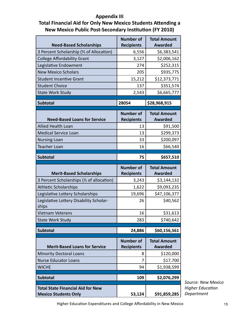## **Appendix III Total Financial Aid for Only New Mexico Students Attending a New Mexico Public Post-Secondary Institution (FY 2010)**

| <b>Need-Based Scholarships</b>                   | <b>Number of</b><br><b>Recipients</b> | <b>Total Amount</b><br><b>Awarded</b> |
|--------------------------------------------------|---------------------------------------|---------------------------------------|
| 3 Percent Scholarship (3 of Allocation)          | 6,556                                 | \$6,383,541                           |
| <b>College Affordability Grant</b>               | 3,127                                 | \$2,006,162                           |
| Legislative Endowment                            | 274                                   | \$252,315                             |
| <b>New Mexico Scholars</b>                       | 205                                   | \$935,775                             |
| <b>Student Incentive Grant</b>                   | 15,212                                | \$12,373,771                          |
| <b>Student Choice</b>                            | 137                                   | \$351,574                             |
| <b>State Work Study</b>                          | 2,543                                 | \$6,665,777                           |
|                                                  |                                       |                                       |
| <b>Subtotal</b>                                  | 28054                                 | \$28,968,915                          |
| <b>Need-Based Loans for Service</b>              | <b>Number of</b><br><b>Recipients</b> | <b>Total Amount</b><br><b>Awarded</b> |
| <b>Allied Health Loan</b>                        | 13                                    | \$91,500                              |
| <b>Medical Service Loan</b>                      | 13                                    | \$299,373                             |
| <b>Nursing Loan</b>                              | 33                                    | \$200,097                             |
| <b>Teacher Loan</b>                              | 16                                    | \$66,540                              |
|                                                  |                                       |                                       |
| <b>Subtotal</b>                                  | 75                                    | \$657,510                             |
|                                                  |                                       |                                       |
| <b>Merit-Based Scholarships</b>                  | <b>Number of</b><br><b>Recipients</b> | <b>Total Amount</b><br><b>Awarded</b> |
| 3 Percent Scholarships (1/3 of allocation)       | 3,243                                 | \$3,144,132                           |
| <b>Athletic Scholarships</b>                     | 1,622                                 | \$9,093,235                           |
| Legislative Lottery Scholarships                 | 19,696                                | \$47,106,377                          |
| Legislative Lottery Disability Scholar-<br>ships | 26                                    | \$40,562                              |
| <b>Vietnam Veterans</b>                          | 16                                    | \$31,613                              |
| <b>State Work Study</b>                          | 283                                   | \$740,642                             |
| <b>Subtotal</b>                                  | 24,886                                | \$60,156,561                          |
| <b>Merit-Based Loans for Service</b>             | <b>Number of</b>                      | <b>Total Amount</b><br><b>Awarded</b> |
| <b>Minority Doctoral Loans</b>                   | <b>Recipients</b><br>8                |                                       |
| <b>Nurse Educator Loans</b>                      | 7                                     | \$120,000                             |
| <b>WICHE</b>                                     | 94                                    | \$17,700                              |
| <b>Subtotal</b>                                  | 109                                   | \$1,938,599<br>\$2,076,299            |
| <b>Total State Financial Aid for New</b>         |                                       |                                       |

*Source: New Mexico Higher Education Department*

Higher Education Expenditures and College Affordability in New Mexico 15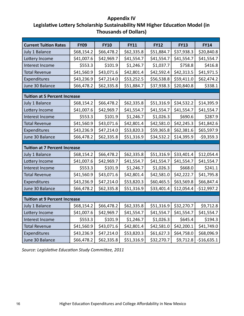## **Appendix IV Legislative Lottery Scholarship Sustainability NM Higher Education Model (in Thousands of Dollars)**

| <b>Current Tuition Rates</b>         | <b>FY09</b> | <b>FY10</b> | <b>FY11</b> | <b>FY12</b> | <b>FY13</b> | <b>FY14</b>  |
|--------------------------------------|-------------|-------------|-------------|-------------|-------------|--------------|
| July 1 Balance                       | \$68,154.2  | \$66,478.2  | \$62,335.8  | \$51,884.7  | \$37,938.3  | \$20,840.8   |
| Lottery Income                       | \$41,007.6  | \$42,969.7  | \$41,554.7  | \$41,554.7  | \$41,554.7  | \$41,554.7   |
| Interest Income                      | \$553.3     | \$101.9     | \$1,246.7   | \$1,037.7   | \$758.8     | \$416.8      |
| <b>Total Revenue</b>                 | \$41,560.9  | \$43,071.6  | \$42,801.4  | \$42,592.4  | \$42,313.5  | \$41,971.5   |
| Expenditures                         | \$43,236.9  | \$47,214.0  | \$53,252.5  | \$56,538.8  | \$59,411.0  | \$62,474.2   |
| June 30 Balance                      | \$66,478.2  | \$62,335.8  | \$51,884.7  | \$37,938.3  | \$20,840.8  | \$338.1      |
|                                      |             |             |             |             |             |              |
| <b>Tuition at 5 Percent Increase</b> |             |             |             |             |             |              |
| July 1 Balance                       | \$68,154.2  | \$66,478.2  | \$62,335.8  | \$51,316.9  | \$34,532.2  | \$14,395.9   |
| Lottery Income                       | \$41,007.6  | \$42,969.7  | \$41,554.7  | \$41,554.7  | \$41,554.7  | \$41,554.7   |
| Interest Income                      | \$553.3     | \$101.9     | \$1,246.7   | \$1,026.3   | \$690.6     | \$287.9      |
| <b>Total Revenue</b>                 | \$41,560.9  | \$43,071.6  | \$42,801.4  | \$42,581.0  | \$42,245.3  | \$41,842.6   |
| Expenditures                         | \$43,236.9  | \$47,214.0  | \$53,820.3  | \$59,365.8  | \$62,381.6  | \$65,597.9   |
| June 30 Balance                      | \$66,478.2  | \$62,335.8  | \$51,316.9  | \$34,532.2  | \$14,395.9  | $-59,359.3$  |
|                                      |             |             |             |             |             |              |
| <b>Tuition at 7 Percent Increase</b> |             |             |             |             |             |              |
| July 1 Balance                       | \$68,154.2  | \$66,478.2  | \$62,335.8  | \$51,316.9  | \$33,401.4  | \$12,054.4   |
| Lottery Income                       | \$41,007.6  | \$42,969.7  | \$41,554.7  | \$41,554.7  | \$41,554.7  | \$41,554.7   |
| Interest Income                      | \$553.3     | \$101.9     | \$1,246.7   | \$1,026.3   | \$668.0     | \$241.1      |
| <b>Total Revenue</b>                 | \$41,560.9  | \$43,071.6  | \$42,801.4  | \$42,581.0  | \$42,222.7  | \$41,795.8   |
| Expenditures                         | \$43,236.9  | \$47,214.0  | \$53,820.3  | \$60,465.5  | \$63,569.8  | \$66,847.4   |
| June 30 Balance                      | \$66,478.2  | \$62,335.8  | \$51,316.9  | \$33,401.4  | \$12,054.4  | $-$12,997.2$ |
|                                      |             |             |             |             |             |              |
| <b>Tuition at 9 Percent Increase</b> |             |             |             |             |             |              |
| July 1 Balance                       | \$68,154.2  | \$66,478.2  | \$62,335.8  | \$51,316.9  | \$32,270.7  | \$9,712.8    |
| Lottery Income                       | \$41,007.6  | \$42,969.7  | \$41,554.7  | \$41,554.7  | \$41,554.7  | \$41,554.7   |
| Interest Income                      | \$553.3     | \$101.9     | \$1,246.7   | \$1,026.3   | \$645.4     | \$194.3      |
| <b>Total Revenue</b>                 | \$41,560.9  | \$43,071.6  | \$42,801.4  | \$42,581.0  | \$42,200.1  | \$41,749.0   |
| Expenditures                         | \$43,236.9  | \$47,214.0  | \$53,820.3  | \$61,627.3  | \$64,758.0  | \$68,096.9   |
| June 30 Balance                      | \$66,478.2  | \$62,335.8  | \$51,316.9  | \$32,270.7  | \$9,712.8   | $-$16,635.1$ |

*Source: Legislative Education Study Committee, 2011*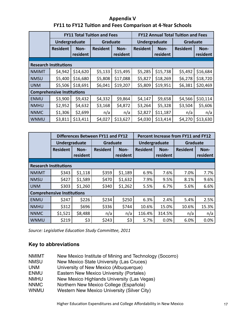## **Appendix V FY11 to FY12 Tuition and Fees Comparison at 4-Year Schools**

|                                   |                 |                  | <b>FY11 Total Tuition and Fees</b> |                  | <b>FY12 Annual Total Tuition and Fees</b> |                  |                 |                  |  |  |
|-----------------------------------|-----------------|------------------|------------------------------------|------------------|-------------------------------------------|------------------|-----------------|------------------|--|--|
|                                   | Undergraduate   |                  | Graduate                           |                  | Undergraduate                             |                  | <b>Graduate</b> |                  |  |  |
|                                   | <b>Resident</b> | Non-<br>resident | <b>Resident</b>                    | Non-<br>resident | <b>Resident</b>                           | Non-<br>resident | <b>Resident</b> | Non-<br>resident |  |  |
|                                   |                 |                  |                                    |                  |                                           |                  |                 |                  |  |  |
| <b>Research Institutions</b>      |                 |                  |                                    |                  |                                           |                  |                 |                  |  |  |
| <b>NMIMT</b>                      | \$4,942         | \$14,620         | \$5,133                            | \$15,495         | \$5,285                                   | \$15,738         | \$5,492         | \$16,684         |  |  |
| <b>NMSU</b>                       | \$5,400         | \$16,680         | \$5,808                            | \$17,088         | \$5,827                                   | \$18,269         | \$6,278         | \$18,720         |  |  |
| UNM                               | \$5,506         | \$18,691         | \$6,041                            | \$19,207         | \$5,809                                   | \$19,951         | \$6,381         | \$20,469         |  |  |
| <b>Comprehensive Institutions</b> |                 |                  |                                    |                  |                                           |                  |                 |                  |  |  |
| <b>ENMU</b>                       | \$3,900         | \$9,432          | \$4,332                            | \$9,864          | \$4,147                                   | \$9,658          | \$4,566         | \$10,114         |  |  |
| <b>NMHU</b>                       | \$2,952         | \$4,632          | \$3,168                            | \$4,872          | \$3,264                                   | \$5,328          | \$3,504         | \$5,606          |  |  |
| <b>NNMC</b>                       | \$1,306         | \$2,699          | n/a                                | n/a              | \$2,827                                   | \$11,187         | n/a             | n/a              |  |  |
| <b>WNMU</b>                       | \$3,811         | \$13,411         | \$4,027                            | \$13,627         | \$4,030                                   | \$13,414         | \$4,270         | \$13,630         |  |  |

|                                   |                 |                  | Differences Between FY11 and FY12 |                  | Percent Increase from FY11 and FY12 |                  |                 |                  |  |  |
|-----------------------------------|-----------------|------------------|-----------------------------------|------------------|-------------------------------------|------------------|-----------------|------------------|--|--|
|                                   | Undergraduate   |                  | Graduate                          |                  | Undergraduate                       |                  | Graduate        |                  |  |  |
|                                   | <b>Resident</b> | Non-<br>resident | <b>Resident</b>                   | Non-<br>resident | <b>Resident</b>                     | Non-<br>resident | <b>Resident</b> | Non-<br>resident |  |  |
|                                   |                 |                  |                                   |                  |                                     |                  |                 |                  |  |  |
| <b>Research Institutions</b>      |                 |                  |                                   |                  |                                     |                  |                 |                  |  |  |
| <b>NMIMT</b>                      | \$343           | \$1,118          | \$359                             | \$1,189          | 6.9%                                | 7.6%             | 7.0%            | 7.7%             |  |  |
| <b>NMSU</b>                       | \$427           | \$1,589          | \$470                             | \$1,632          | 7.9%                                | 9.5%             | 8.1%            | 9.6%             |  |  |
| <b>UNM</b>                        | \$303           | \$1,260          | \$340                             | \$1,262          | 5.5%                                | 6.7%             | 5.6%            | 6.6%             |  |  |
| <b>Comprehensive Institutions</b> |                 |                  |                                   |                  |                                     |                  |                 |                  |  |  |
| <b>ENMU</b>                       | \$247           | \$226            | \$234                             | \$250            | 6.3%                                | 2.4%             | 5.4%            | 2.5%             |  |  |
| <b>NMHU</b>                       | \$312           | \$696            | \$336                             | \$744            | 10.6%                               | 15.0%            | 10.6%           | 15.3%            |  |  |
| <b>NNMC</b>                       | \$1,521         | \$8,488          | n/a                               | n/a              | 116.4%                              | 314.5%           | n/a             | n/a              |  |  |
| <b>WNMU</b>                       | \$219           | \$3              | \$243                             | \$3              | 5.7%                                | 0.0%             | 6.0%            | 0.0%             |  |  |

*Source: Legislative Education Study Committee, 2011*

## **Key to abbreviations**

- NMIMT New Mexico Institute of Mining and Technology (Socorro)
- NMSU New Mexico State University (Las Cruces)
- UNM University of New Mexico (Albuquerque)
- ENMU Eastern New Mexico University (Portales)
- NMHU New Mexico Highlands University (Las Vegas)
- NNMC Northern New Mexico College (Española)
- WNMU Western New Mexico University (Silver City)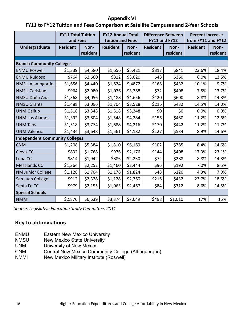#### **Appendix VI**

## **FY11 to FY12 Tuition and Fees Comparison at Satellite Campuses and 2-Year Schools**

|                                       | <b>FY11 Total Tuition</b><br>and Fees |                  | <b>FY12 Annual Total</b><br><b>Tuition and Fees</b> |                  | <b>Difference Between</b><br>FY11 and FY12 |                  | <b>Percent Increase</b><br>from FY11 and FY12 |                  |  |
|---------------------------------------|---------------------------------------|------------------|-----------------------------------------------------|------------------|--------------------------------------------|------------------|-----------------------------------------------|------------------|--|
| Undergraduate                         | <b>Resident</b>                       | Non-<br>resident | <b>Resident</b>                                     | Non-<br>resident | <b>Resident</b>                            | Non-<br>resident | <b>Resident</b>                               | Non-<br>resident |  |
| <b>Branch Community Colleges</b>      |                                       |                  |                                                     |                  |                                            |                  |                                               |                  |  |
| <b>ENMU Roswell</b>                   | \$1,339                               | \$4,580          | \$1,656                                             | \$5,421          | \$317                                      | \$841            | 23.6%                                         | 18.4%            |  |
| <b>ENMU Ruidoso</b>                   | \$764                                 | \$2,660          | \$812                                               | \$3,020          | \$48                                       | \$360            | 6.0%                                          | 13.5%            |  |
| NMSU Alamogordo                       | \$1,656                               | \$4,440          | \$1,824                                             | \$,4872          | \$168                                      | \$432            | 10.1%                                         | 9.7%             |  |
| <b>NMSU Carlsbad</b>                  | \$964                                 | \$2,980          | \$1,036                                             | \$3,388          | \$72                                       | \$408            | 7.5%                                          | 13.7%            |  |
| NMSU Doña Ana                         | \$1,368                               | \$4,056          | \$1,488                                             | \$4,656          | \$120                                      | \$600            | 8.8%                                          | 14.8%            |  |
| <b>NMSU Grants</b>                    | \$1,488                               | \$3,096          | \$1,704                                             | \$3,528          | \$216                                      | \$432            | 14.5%                                         | 14.0%            |  |
| <b>UNM Gallup</b>                     | \$1,518                               | \$3,348          | \$1,518                                             | \$3,348          | \$0                                        | \$0              | 0.0%                                          | 0.0%             |  |
| <b>UNM Los Alamos</b>                 | \$1,392                               | \$3,804          | \$1,548                                             | \$4,284          | \$156                                      | \$480            | 11.2%                                         | 12.6%            |  |
| <b>UNM Taos</b>                       | \$1,518                               | \$3,774          | \$1,688                                             | \$4,216          | \$170                                      | \$442            | 11.2%                                         | 11.7%            |  |
| <b>UNM Valencia</b>                   | \$1,434                               | \$3,648          | \$1,561                                             | \$4,182          | \$127                                      | \$534            | 8.9%                                          | 14.6%            |  |
| <b>Independent Community Colleges</b> |                                       |                  |                                                     |                  |                                            |                  |                                               |                  |  |
| <b>CNM</b>                            | \$1,208                               | \$5,384          | \$1,310                                             | \$6,169          | \$102                                      | \$785            | 8.4%                                          | 14.6%            |  |
| <b>Clovis CC</b>                      | \$832                                 | \$1,768          | \$976                                               | \$2,176          | \$144                                      | \$408            | 17.3%                                         | 23.1%            |  |
| Luna CC                               | \$814                                 | \$1,942          | \$886                                               | \$2,230          | \$72                                       | \$288            | 8.8%                                          | 14.8%            |  |
| <b>Mesalands CC</b>                   | \$1,364                               | \$2,252          | \$1,460                                             | \$2,444          | \$96                                       | \$192            | 7.0%                                          | 8.5%             |  |
| <b>NM Junior College</b>              | \$1,128                               | \$1,704          | \$1,176                                             | \$1,824          | \$48                                       | \$120            | 4.3%                                          | 7.0%             |  |
| San Juan College                      | \$912                                 | \$2,328          | \$1,128                                             | \$2,760          | \$216                                      | \$432            | 23.7%                                         | 18.6%            |  |
| Santa Fe CC                           | \$979                                 | \$2,155          | \$1,063                                             | \$2,467          | \$84                                       | \$312            | 8.6%                                          | 14.5%            |  |
| <b>Special Schools</b>                |                                       |                  |                                                     |                  |                                            |                  |                                               |                  |  |
| <b>NMMI</b>                           | \$2,876                               | \$6,639          | \$3,374                                             | \$7,649          | \$498                                      | \$1,010          | 17%                                           | 15%              |  |

*Source: Legislative Education Study Committee, 2011*

## **Key to abbreviations**

- ENMU Eastern New Mexico University
- NMSU New Mexico State University
- UNM University of New Mexico
- CNM Central New Mexico Community College (Albuquerque)
- NMMI New Mexico Military Institute (Roswell)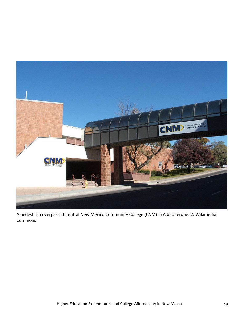

A pedestrian overpass at Central New Mexico Community College (CNM) in Albuquerque. © Wikimedia **Commons**